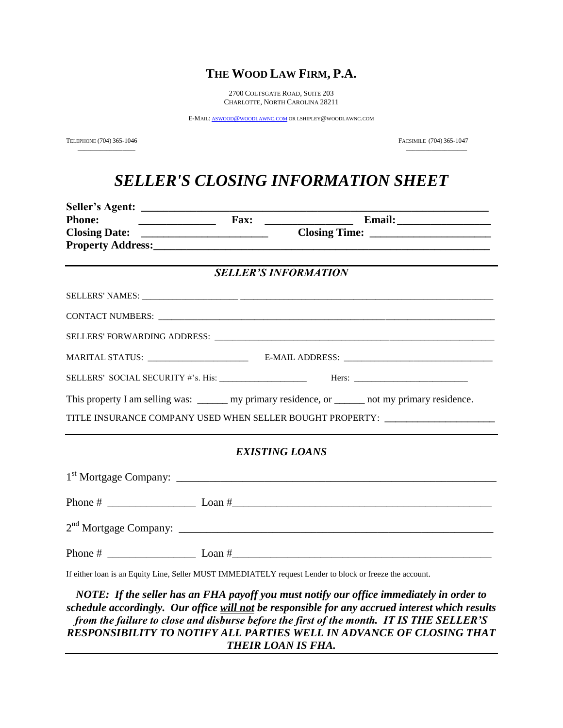## **THE WOOD LAW FIRM, P.A.**

2700 COLTSGATE ROAD, SUITE 203 CHARLOTTE, NORTH CAROLINA 28211

E-MAIL: ASWOOD@[WOODLAWNC](mailto:aswood@woodlawnc.com).COM OR LSHIPLEY@WOODLAWNC.COM

 $\frac{1}{2}$  ,  $\frac{1}{2}$  ,  $\frac{1}{2}$  ,  $\frac{1}{2}$  ,  $\frac{1}{2}$  ,  $\frac{1}{2}$  ,  $\frac{1}{2}$  ,  $\frac{1}{2}$  ,  $\frac{1}{2}$  ,  $\frac{1}{2}$  ,  $\frac{1}{2}$  ,  $\frac{1}{2}$  ,  $\frac{1}{2}$  ,  $\frac{1}{2}$  ,  $\frac{1}{2}$  ,  $\frac{1}{2}$  ,  $\frac{1}{2}$  ,  $\frac{1}{2}$  ,  $\frac{1$ 

TELEPHONE (704) 365-1046 FACSIMILE (704) 365-1047

# *SELLER'S CLOSING INFORMATION SHEET*

| <b>Phone:</b> | <b>Email:</b> Email:                                                                                     |
|---------------|----------------------------------------------------------------------------------------------------------|
|               |                                                                                                          |
|               |                                                                                                          |
|               |                                                                                                          |
|               | <b>SELLER'S INFORMATION</b>                                                                              |
|               |                                                                                                          |
|               |                                                                                                          |
|               |                                                                                                          |
|               |                                                                                                          |
|               |                                                                                                          |
|               | This property I am selling was: _______ my primary residence, or ______ not my primary residence.        |
|               | TITLE INSURANCE COMPANY USED WHEN SELLER BOUGHT PROPERTY: ______________________                         |
|               |                                                                                                          |
|               | <b>EXISTING LOANS</b>                                                                                    |
|               |                                                                                                          |
|               |                                                                                                          |
|               |                                                                                                          |
|               |                                                                                                          |
|               | If either loan is an Equity Line, Seller MUST IMMEDIATELY request Lender to block or freeze the account. |

*NOTE: If the seller has an FHA payoff you must notify our office immediately in order to schedule accordingly. Our office will not be responsible for any accrued interest which results from the failure to close and disburse before the first of the month. IT IS THE SELLER'S RESPONSIBILITY TO NOTIFY ALL PARTIES WELL IN ADVANCE OF CLOSING THAT THEIR LOAN IS FHA.*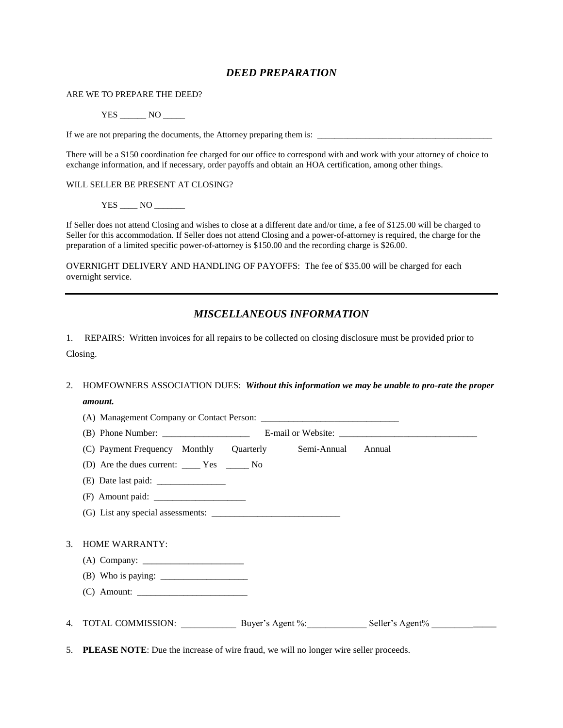#### *DEED PREPARATION*

ARE WE TO PREPARE THE DEED?

YES NO

If we are not preparing the documents, the Attorney preparing them is: \_\_\_\_\_\_\_\_\_\_\_\_\_\_\_\_\_\_\_\_\_\_\_\_\_\_\_\_\_\_\_\_\_\_\_\_\_\_\_\_

There will be a \$150 coordination fee charged for our office to correspond with and work with your attorney of choice to exchange information, and if necessary, order payoffs and obtain an HOA certification, among other things.

WILL SELLER BE PRESENT AT CLOSING?

YES \_\_\_\_\_ NO \_\_\_\_\_\_\_

If Seller does not attend Closing and wishes to close at a different date and/or time, a fee of \$125.00 will be charged to Seller for this accommodation. If Seller does not attend Closing and a power-of-attorney is required, the charge for the preparation of a limited specific power-of-attorney is \$150.00 and the recording charge is \$26.00.

OVERNIGHT DELIVERY AND HANDLING OF PAYOFFS: The fee of \$35.00 will be charged for each overnight service.

### *MISCELLANEOUS INFORMATION*

1. REPAIRS: Written invoices for all repairs to be collected on closing disclosure must be provided prior to Closing.

### 2. HOMEOWNERS ASSOCIATION DUES: *Without this information we may be unable to pro-rate the proper amount.*

|    | (C) Payment Frequency Monthly Quarterly Semi-Annual Annual                              |  |  |  |  |  |
|----|-----------------------------------------------------------------------------------------|--|--|--|--|--|
|    |                                                                                         |  |  |  |  |  |
|    |                                                                                         |  |  |  |  |  |
|    |                                                                                         |  |  |  |  |  |
|    |                                                                                         |  |  |  |  |  |
|    |                                                                                         |  |  |  |  |  |
| 3. | <b>HOME WARRANTY:</b>                                                                   |  |  |  |  |  |
|    |                                                                                         |  |  |  |  |  |
|    |                                                                                         |  |  |  |  |  |
|    |                                                                                         |  |  |  |  |  |
|    |                                                                                         |  |  |  |  |  |
|    | 4. TOTAL COMMISSION: Buyer's Agent %: Seller's Agent % _________________________        |  |  |  |  |  |
|    |                                                                                         |  |  |  |  |  |
|    | 5. PLEASE NOTE: Due the increase of wire fraud, we will no longer wire seller proceeds. |  |  |  |  |  |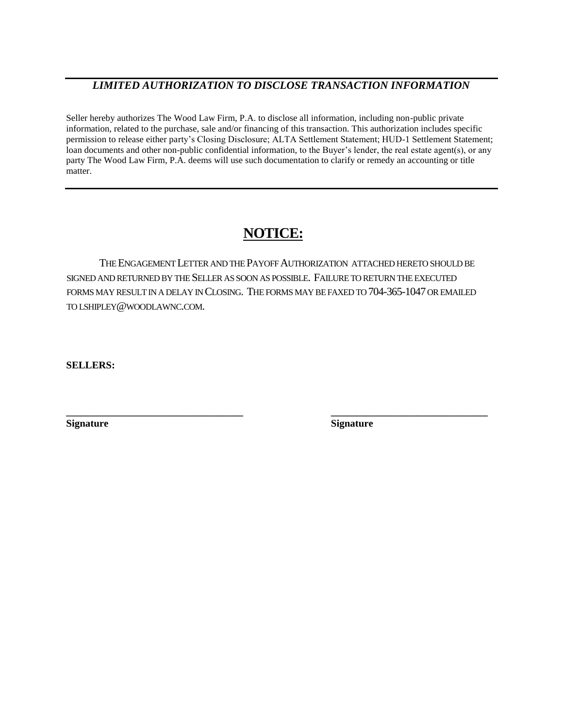### *LIMITED AUTHORIZATION TO DISCLOSE TRANSACTION INFORMATION*

Seller hereby authorizes The Wood Law Firm, P.A. to disclose all information, including non-public private information, related to the purchase, sale and/or financing of this transaction. This authorization includes specific permission to release either party's Closing Disclosure; ALTA Settlement Statement; HUD-1 Settlement Statement; loan documents and other non-public confidential information, to the Buyer's lender, the real estate agent(s), or any party The Wood Law Firm, P.A. deems will use such documentation to clarify or remedy an accounting or title matter.

## **NOTICE:**

THE ENGAGEMENT LETTER AND THE PAYOFF AUTHORIZATION ATTACHED HERETO SHOULD BE SIGNED AND RETURNED BY THE SELLER AS SOON AS POSSIBLE. FAILURE TO RETURN THE EXECUTED FORMS MAY RESULT IN A DELAY IN CLOSING. THE FORMS MAY BE FAXED TO 704-365-1047 OR EMAILED TO LSHIPLEY@WOODLAWNC.COM.

**\_\_\_\_\_\_\_\_\_\_\_\_\_\_\_\_\_\_\_\_\_\_\_\_\_\_\_\_\_\_\_\_\_\_\_ \_\_\_\_\_\_\_\_\_\_\_\_\_\_\_\_\_\_\_\_\_\_\_\_\_\_\_\_\_\_\_**

**SELLERS:**

**Signature Signature**